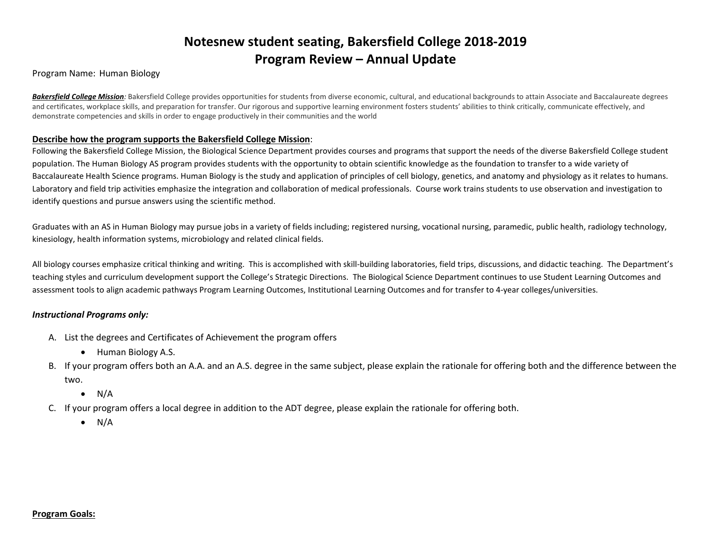# **Notesnew student seating, Bakersfield College 2018-2019 Program Review – Annual Update**

#### Program Name: Human Biology

Bakersfield College Mission: Bakersfield College provides opportunities for students from diverse economic, cultural, and educational backgrounds to attain Associate and Baccalaureate degrees and certificates, workplace skills, and preparation for transfer. Our rigorous and supportive learning environment fosters students' abilities to think critically, communicate effectively, and demonstrate competencies and skills in order to engage productively in their communities and the world

#### **Describe how the program supports the Bakersfield College Mission**:

Following the Bakersfield College Mission, the Biological Science Department provides courses and programs that support the needs of the diverse Bakersfield College student population. The Human Biology AS program provides students with the opportunity to obtain scientific knowledge as the foundation to transfer to a wide variety of Baccalaureate Health Science programs. Human Biology is the study and application of principles of cell biology, genetics, and anatomy and physiology as it relates to humans. Laboratory and field trip activities emphasize the integration and collaboration of medical professionals. Course work trains students to use observation and investigation to identify questions and pursue answers using the scientific method.

Graduates with an AS in Human Biology may pursue jobs in a variety of fields including; registered nursing, vocational nursing, paramedic, public health, radiology technology, kinesiology, health information systems, microbiology and related clinical fields.

All biology courses emphasize critical thinking and writing. This is accomplished with skill-building laboratories, field trips, discussions, and didactic teaching. The Department's teaching styles and curriculum development support the College's Strategic Directions. The Biological Science Department continues to use Student Learning Outcomes and assessment tools to align academic pathways Program Learning Outcomes, Institutional Learning Outcomes and for transfer to 4-year colleges/universities.

#### *Instructional Programs only:*

- A. List the degrees and Certificates of Achievement the program offers
	- Human Biology A.S.
- B. If your program offers both an A.A. and an A.S. degree in the same subject, please explain the rationale for offering both and the difference between the two.
	- $\bullet$  N/A
- C. If your program offers a local degree in addition to the ADT degree, please explain the rationale for offering both.
	- $\bullet$  N/A

#### **Program Goals:**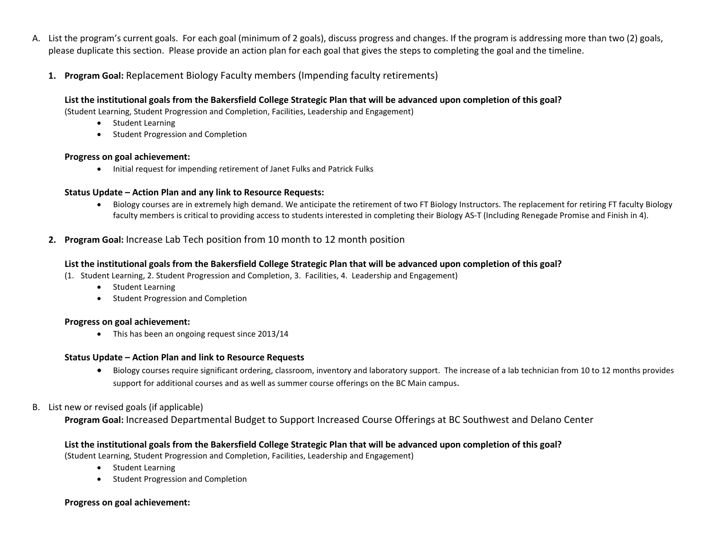- A. List the program's current goals. For each goal (minimum of 2 goals), discuss progress and changes. If the program is addressing more than two (2) goals, please duplicate this section. Please provide an action plan for each goal that gives the steps to completing the goal and the timeline.
	- **1. Program Goal:** Replacement Biology Faculty members (Impending faculty retirements)

## **List the institutional goals from the Bakersfield College Strategic Plan that will be advanced upon completion of this goal?**

(Student Learning, Student Progression and Completion, Facilities, Leadership and Engagement)

- Student Learning
- Student Progression and Completion

#### **Progress on goal achievement:**

• Initial request for impending retirement of Janet Fulks and Patrick Fulks

## **Status Update – Action Plan and any link to Resource Requests:**

• Biology courses are in extremely high demand. We anticipate the retirement of two FT Biology Instructors. The replacement for retiring FT faculty Biology faculty members is critical to providing access to students interested in completing their Biology AS-T (Including Renegade Promise and Finish in 4).

# **2. Program Goal:** Increase Lab Tech position from 10 month to 12 month position

## **List the institutional goals from the Bakersfield College Strategic Plan that will be advanced upon completion of this goal?**

(1. Student Learning, 2. Student Progression and Completion, 3. Facilities, 4. Leadership and Engagement)

- Student Learning
- Student Progression and Completion

#### **Progress on goal achievement:**

• This has been an ongoing request since 2013/14

## **Status Update – Action Plan and link to Resource Requests**

• Biology courses require significant ordering, classroom, inventory and laboratory support. The increase of a lab technician from 10 to 12 months provides support for additional courses and as well as summer course offerings on the BC Main campus.

## B. List new or revised goals (if applicable)

**Program Goal:** Increased Departmental Budget to Support Increased Course Offerings at BC Southwest and Delano Center

## **List the institutional goals from the Bakersfield College Strategic Plan that will be advanced upon completion of this goal?**

(Student Learning, Student Progression and Completion, Facilities, Leadership and Engagement)

- Student Learning
- Student Progression and Completion

## **Progress on goal achievement:**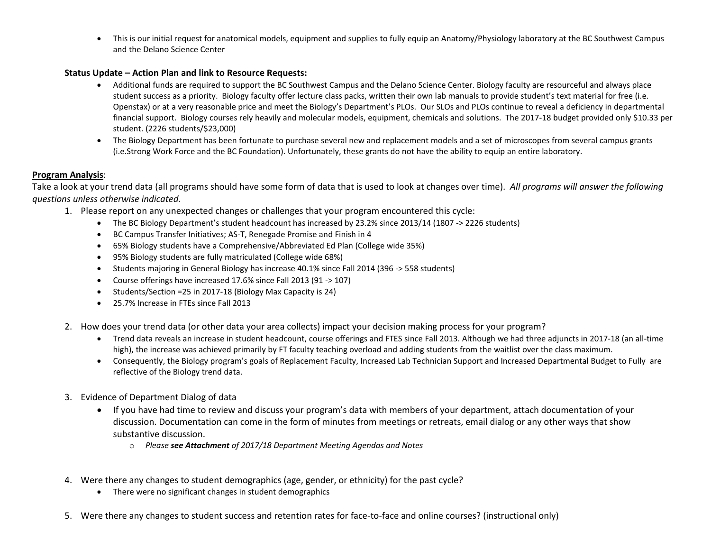• This is our initial request for anatomical models, equipment and supplies to fully equip an Anatomy/Physiology laboratory at the BC Southwest Campus and the Delano Science Center

#### **Status Update – Action Plan and link to Resource Requests:**

- Additional funds are required to support the BC Southwest Campus and the Delano Science Center. Biology faculty are resourceful and always place student success as a priority. Biology faculty offer lecture class packs, written their own lab manuals to provide student's text material for free (i.e. Openstax) or at a very reasonable price and meet the Biology's Department's PLOs. Our SLOs and PLOs continue to reveal a deficiency in departmental financial support. Biology courses rely heavily and molecular models, equipment, chemicals and solutions. The 2017-18 budget provided only \$10.33 per student. (2226 students/\$23,000)
- The Biology Department has been fortunate to purchase several new and replacement models and a set of microscopes from several campus grants (i.e.Strong Work Force and the BC Foundation). Unfortunately, these grants do not have the ability to equip an entire laboratory.

## **Program Analysis**:

Take a look at your trend data (all programs should have some form of data that is used to look at changes over time). *All programs will answer the following questions unless otherwise indicated.*

- 1. Please report on any unexpected changes or challenges that your program encountered this cycle:
	- The BC Biology Department's student headcount has increased by 23.2% since 2013/14 (1807 -> 2226 students)
	- BC Campus Transfer Initiatives; AS-T, Renegade Promise and Finish in 4
	- 65% Biology students have a Comprehensive/Abbreviated Ed Plan (College wide 35%)
	- 95% Biology students are fully matriculated (College wide 68%)
	- Students majoring in General Biology has increase 40.1% since Fall 2014 (396 -> 558 students)
	- Course offerings have increased 17.6% since Fall 2013 (91 -> 107)
	- Students/Section =25 in 2017-18 (Biology Max Capacity is 24)
	- 25.7% Increase in FTEs since Fall 2013
- 2. How does your trend data (or other data your area collects) impact your decision making process for your program?
	- Trend data reveals an increase in student headcount, course offerings and FTES since Fall 2013. Although we had three adjuncts in 2017-18 (an all-time high), the increase was achieved primarily by FT faculty teaching overload and adding students from the waitlist over the class maximum.
	- Consequently, the Biology program's goals of Replacement Faculty, Increased Lab Technician Support and Increased Departmental Budget to Fully are reflective of the Biology trend data.
- 3. Evidence of Department Dialog of data
	- If you have had time to review and discuss your program's data with members of your department, attach documentation of your discussion. Documentation can come in the form of minutes from meetings or retreats, email dialog or any other ways that show substantive discussion.
		- o *Please see Attachment of 2017/18 Department Meeting Agendas and Notes*
- 4. Were there any changes to student demographics (age, gender, or ethnicity) for the past cycle?
	- There were no significant changes in student demographics
- 5. Were there any changes to student success and retention rates for face-to-face and online courses? (instructional only)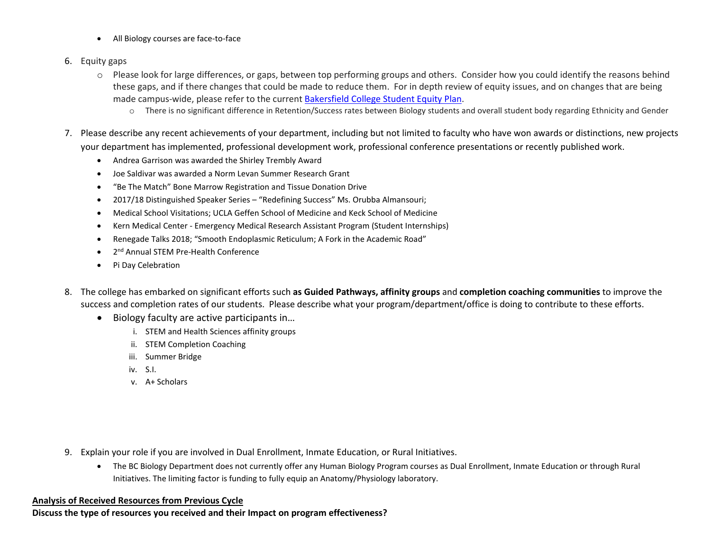- All Biology courses are face-to-face
- 6. Equity gaps
	- o Please look for large differences, or gaps, between top performing groups and others. Consider how you could identify the reasons behind these gaps, and if there changes that could be made to reduce them. For in depth review of equity issues, and on changes that are being made campus-wide, please refer to the current [Bakersfield College Student Equity Plan.](https://www.bakersfieldcollege.edu/sites/bakersfieldcollege.edu/files/2015-18_StudentEquityPlan.pdf)
		- o There is no significant difference in Retention/Success rates between Biology students and overall student body regarding Ethnicity and Gender
- 7. Please describe any recent achievements of your department, including but not limited to faculty who have won awards or distinctions, new projects your department has implemented, professional development work, professional conference presentations or recently published work.
	- Andrea Garrison was awarded the Shirley Trembly Award
	- Joe Saldivar was awarded a Norm Levan Summer Research Grant
	- "Be The Match" Bone Marrow Registration and Tissue Donation Drive
	- 2017/18 Distinguished Speaker Series "Redefining Success" Ms. Orubba Almansouri;
	- Medical School Visitations; UCLA Geffen School of Medicine and Keck School of Medicine
	- Kern Medical Center Emergency Medical Research Assistant Program (Student Internships)
	- Renegade Talks 2018; "Smooth Endoplasmic Reticulum; A Fork in the Academic Road"
	- 2nd Annual STEM Pre-Health Conference
	- Pi Day Celebration
- 8. The college has embarked on significant efforts such **as Guided Pathways, affinity groups** and **completion coaching communities** to improve the success and completion rates of our students. Please describe what your program/department/office is doing to contribute to these efforts.
	- Biology faculty are active participants in…
		- i. STEM and Health Sciences affinity groups
		- ii. STEM Completion Coaching
		- iii. Summer Bridge
		- iv. S.I.
		- v. A+ Scholars

- 9. Explain your role if you are involved in Dual Enrollment, Inmate Education, or Rural Initiatives.
	- The BC Biology Department does not currently offer any Human Biology Program courses as Dual Enrollment, Inmate Education or through Rural Initiatives. The limiting factor is funding to fully equip an Anatomy/Physiology laboratory.

## **Analysis of Received Resources from Previous Cycle**

**Discuss the type of resources you received and their Impact on program effectiveness?**